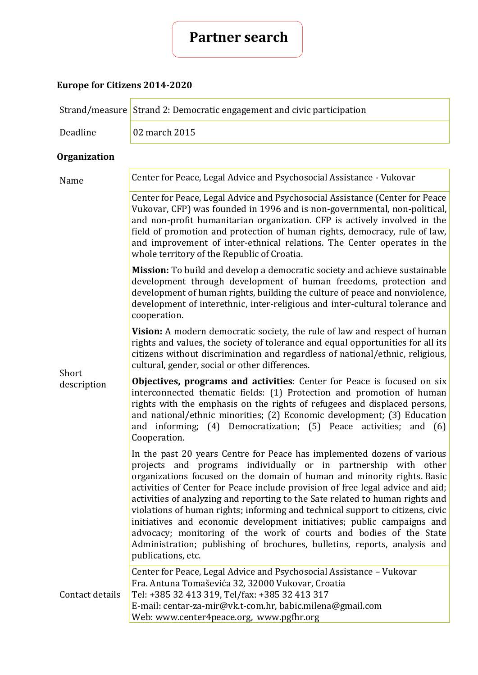# **Partner search**

## **Europe for Citizens 2014-2020**

|                      | Strand/measure Strand 2: Democratic engagement and civic participation                                                                                                                                                                                                                                                                                                                                                                                                                                                                                                                                                                                                                                                        |  |
|----------------------|-------------------------------------------------------------------------------------------------------------------------------------------------------------------------------------------------------------------------------------------------------------------------------------------------------------------------------------------------------------------------------------------------------------------------------------------------------------------------------------------------------------------------------------------------------------------------------------------------------------------------------------------------------------------------------------------------------------------------------|--|
| Deadline             | 02 march 2015                                                                                                                                                                                                                                                                                                                                                                                                                                                                                                                                                                                                                                                                                                                 |  |
| <b>Organization</b>  |                                                                                                                                                                                                                                                                                                                                                                                                                                                                                                                                                                                                                                                                                                                               |  |
| Name                 | Center for Peace, Legal Advice and Psychosocial Assistance - Vukovar                                                                                                                                                                                                                                                                                                                                                                                                                                                                                                                                                                                                                                                          |  |
| Short<br>description | Center for Peace, Legal Advice and Psychosocial Assistance (Center for Peace<br>Vukovar, CFP) was founded in 1996 and is non-governmental, non-political,<br>and non-profit humanitarian organization. CFP is actively involved in the<br>field of promotion and protection of human rights, democracy, rule of law,<br>and improvement of inter-ethnical relations. The Center operates in the<br>whole territory of the Republic of Croatia.                                                                                                                                                                                                                                                                                |  |
|                      | Mission: To build and develop a democratic society and achieve sustainable<br>development through development of human freedoms, protection and<br>development of human rights, building the culture of peace and nonviolence,<br>development of interethnic, inter-religious and inter-cultural tolerance and<br>cooperation.                                                                                                                                                                                                                                                                                                                                                                                                |  |
|                      | Vision: A modern democratic society, the rule of law and respect of human<br>rights and values, the society of tolerance and equal opportunities for all its<br>citizens without discrimination and regardless of national/ethnic, religious,<br>cultural, gender, social or other differences.                                                                                                                                                                                                                                                                                                                                                                                                                               |  |
|                      | Objectives, programs and activities: Center for Peace is focused on six<br>interconnected thematic fields: (1) Protection and promotion of human<br>rights with the emphasis on the rights of refugees and displaced persons,<br>and national/ethnic minorities; (2) Economic development; (3) Education<br>and informing; (4) Democratization; (5) Peace activities; and (6)<br>Cooperation.                                                                                                                                                                                                                                                                                                                                 |  |
|                      | In the past 20 years Centre for Peace has implemented dozens of various<br>projects and programs individually or in partnership with other<br>organizations focused on the domain of human and minority rights. Basic<br>activities of Center for Peace include provision of free legal advice and aid;<br>activities of analyzing and reporting to the Sate related to human rights and<br>violations of human rights; informing and technical support to citizens, civic<br>initiatives and economic development initiatives; public campaigns and<br>advocacy; monitoring of the work of courts and bodies of the State<br>Administration; publishing of brochures, bulletins, reports, analysis and<br>publications, etc. |  |
| Contact details      | Center for Peace, Legal Advice and Psychosocial Assistance - Vukovar<br>Fra. Antuna Tomaševića 32, 32000 Vukovar, Croatia<br>Tel: +385 32 413 319, Tel/fax: +385 32 413 317<br>E-mail: centar-za-mir@vk.t-com.hr, babic.milena@gmail.com<br>Web: www.center4peace.org, www.pgfhr.org                                                                                                                                                                                                                                                                                                                                                                                                                                          |  |